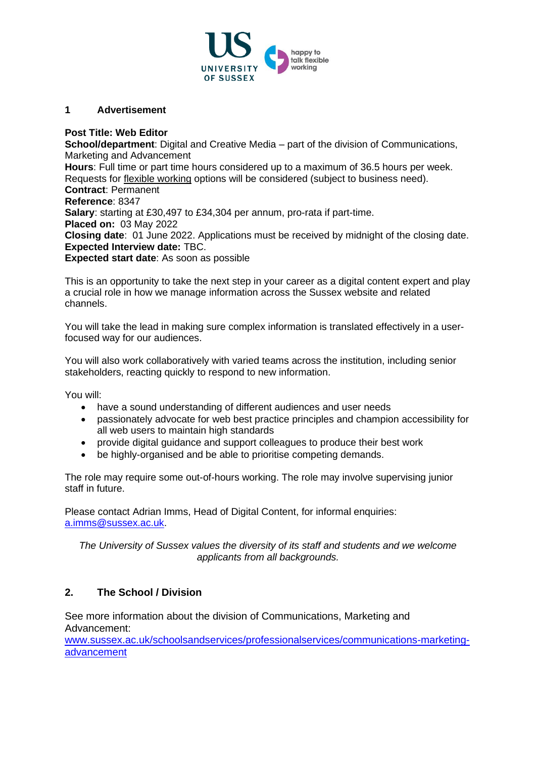

#### **1 Advertisement**

#### **Post Title: Web Editor**

**School/department**: Digital and Creative Media – part of the division of Communications, Marketing and Advancement **Hours**: Full time or part time hours considered up to a maximum of 36.5 hours per week. Requests for [flexible working](http://www.sussex.ac.uk/humanresources/personnel/flexible-working) options will be considered (subject to business need). **Contract**: Permanent **Reference**: 8347 **Salary**: starting at £30,497 to £34,304 per annum, pro-rata if part-time. **Placed on:** 03 May 2022 **Closing date**: 01 June 2022. Applications must be received by midnight of the closing date. **Expected Interview date:** TBC. **Expected start date**: As soon as possible

This is an opportunity to take the next step in your career as a digital content expert and play a crucial role in how we manage information across the Sussex website and related channels.

You will take the lead in making sure complex information is translated effectively in a userfocused way for our audiences.

You will also work collaboratively with varied teams across the institution, including senior stakeholders, reacting quickly to respond to new information.

You will:

- have a sound understanding of different audiences and user needs
- passionately advocate for web best practice principles and champion accessibility for all web users to maintain high standards
- provide digital guidance and support colleagues to produce their best work
- be highly-organised and be able to prioritise competing demands.

The role may require some out-of-hours working. The role may involve supervising junior staff in future.

Please contact Adrian Imms, Head of Digital Content, for informal enquiries: [a.imms@sussex.ac.uk.](a.imms@sussex.ac.uk)

*The University of Sussex values the diversity of its staff and students and we welcome applicants from all backgrounds.*

## **2. The School / Division**

See more information about the division of Communications, Marketing and Advancement:

[www.sussex.ac.uk/schoolsandservices/professionalservices/communications-marketing](http://www.sussex.ac.uk/schoolsandservices/professionalservices/communications-marketing-advancement)[advancement](http://www.sussex.ac.uk/schoolsandservices/professionalservices/communications-marketing-advancement)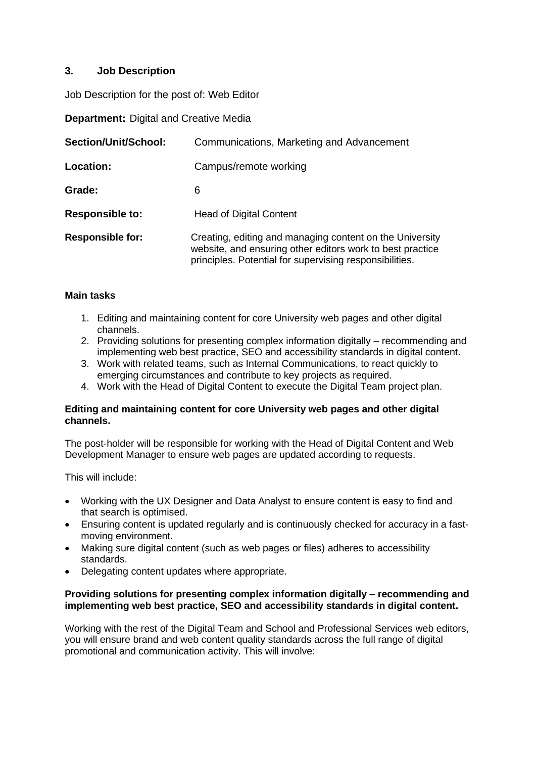## **3. Job Description**

Job Description for the post of: Web Editor

**Department:** Digital and Creative Media

| Section/Unit/School:    | Communications, Marketing and Advancement                                                                                                                                        |
|-------------------------|----------------------------------------------------------------------------------------------------------------------------------------------------------------------------------|
| Location:               | Campus/remote working                                                                                                                                                            |
| Grade:                  | 6                                                                                                                                                                                |
| <b>Responsible to:</b>  | <b>Head of Digital Content</b>                                                                                                                                                   |
| <b>Responsible for:</b> | Creating, editing and managing content on the University<br>website, and ensuring other editors work to best practice<br>principles. Potential for supervising responsibilities. |

## **Main tasks**

- 1. Editing and maintaining content for core University web pages and other digital channels.
- 2. Providing solutions for presenting complex information digitally recommending and implementing web best practice, SEO and accessibility standards in digital content.
- 3. Work with related teams, such as Internal Communications, to react quickly to emerging circumstances and contribute to key projects as required.
- 4. Work with the Head of Digital Content to execute the Digital Team project plan.

### **Editing and maintaining content for core University web pages and other digital channels.**

The post-holder will be responsible for working with the Head of Digital Content and Web Development Manager to ensure web pages are updated according to requests.

This will include:

- Working with the UX Designer and Data Analyst to ensure content is easy to find and that search is optimised.
- Ensuring content is updated regularly and is continuously checked for accuracy in a fastmoving environment.
- Making sure digital content (such as web pages or files) adheres to accessibility standards.
- Delegating content updates where appropriate.

#### **Providing solutions for presenting complex information digitally – recommending and implementing web best practice, SEO and accessibility standards in digital content.**

Working with the rest of the Digital Team and School and Professional Services web editors, you will ensure brand and web content quality standards across the full range of digital promotional and communication activity. This will involve: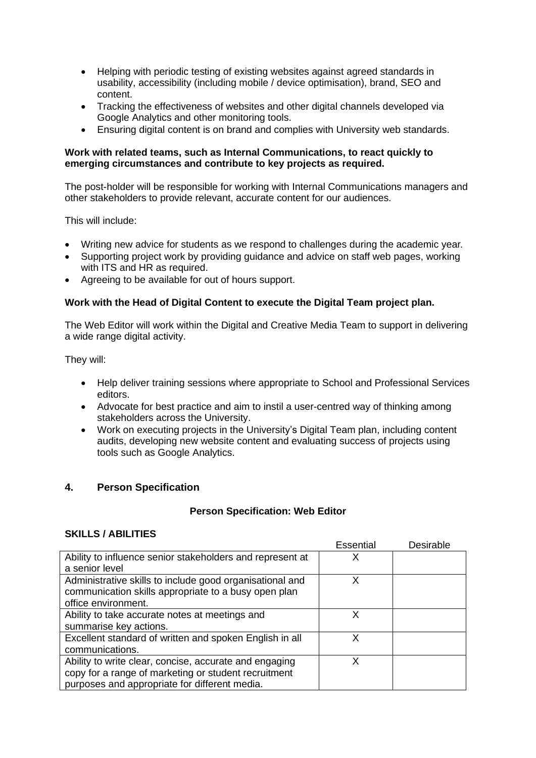- Helping with periodic testing of existing websites against agreed standards in usability, accessibility (including mobile / device optimisation), brand, SEO and content.
- Tracking the effectiveness of websites and other digital channels developed via Google Analytics and other monitoring tools.
- Ensuring digital content is on brand and complies with University web standards.

#### **Work with related teams, such as Internal Communications, to react quickly to emerging circumstances and contribute to key projects as required.**

The post-holder will be responsible for working with Internal Communications managers and other stakeholders to provide relevant, accurate content for our audiences.

This will include:

- Writing new advice for students as we respond to challenges during the academic year.
- Supporting project work by providing guidance and advice on staff web pages, working with ITS and HR as required.
- Agreeing to be available for out of hours support.

### **Work with the Head of Digital Content to execute the Digital Team project plan.**

The Web Editor will work within the Digital and Creative Media Team to support in delivering a wide range digital activity.

They will:

- Help deliver training sessions where appropriate to School and Professional Services editors.
- Advocate for best practice and aim to instil a user-centred way of thinking among stakeholders across the University.
- Work on executing projects in the University's Digital Team plan, including content audits, developing new website content and evaluating success of projects using tools such as Google Analytics.

## **4. Person Specification**

#### **Person Specification: Web Editor**

#### **SKILLS / ABILITIES**

|                                                                                                                                                                 | <b>Essential</b> | Desirable |
|-----------------------------------------------------------------------------------------------------------------------------------------------------------------|------------------|-----------|
| Ability to influence senior stakeholders and represent at                                                                                                       |                  |           |
| a senior level                                                                                                                                                  |                  |           |
| Administrative skills to include good organisational and<br>communication skills appropriate to a busy open plan<br>office environment.                         | х                |           |
| Ability to take accurate notes at meetings and<br>summarise key actions.                                                                                        | x                |           |
| Excellent standard of written and spoken English in all<br>communications.                                                                                      | x                |           |
| Ability to write clear, concise, accurate and engaging<br>copy for a range of marketing or student recruitment<br>purposes and appropriate for different media. | x                |           |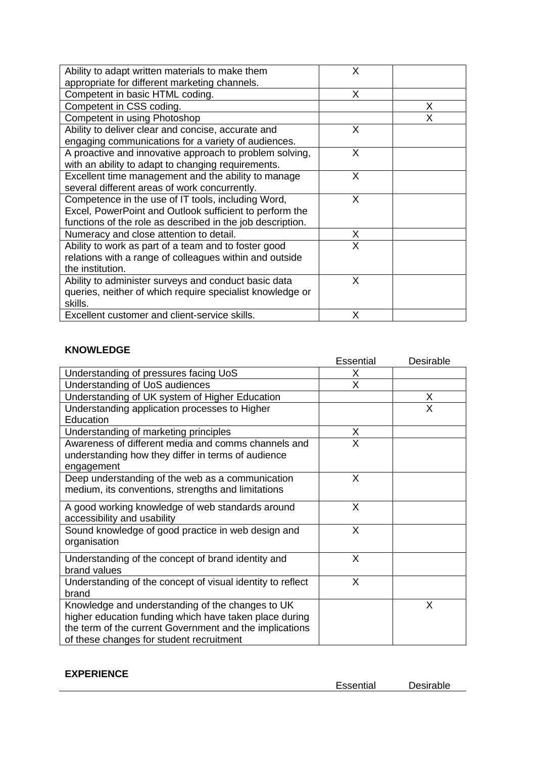| Ability to adapt written materials to make them            | Х |   |
|------------------------------------------------------------|---|---|
| appropriate for different marketing channels.              |   |   |
| Competent in basic HTML coding.                            | X |   |
| Competent in CSS coding.                                   |   | X |
| Competent in using Photoshop                               |   | x |
| Ability to deliver clear and concise, accurate and         | X |   |
| engaging communications for a variety of audiences.        |   |   |
| A proactive and innovative approach to problem solving,    | X |   |
| with an ability to adapt to changing requirements.         |   |   |
| Excellent time management and the ability to manage        | X |   |
| several different areas of work concurrently.              |   |   |
| Competence in the use of IT tools, including Word,         | X |   |
| Excel, PowerPoint and Outlook sufficient to perform the    |   |   |
| functions of the role as described in the job description. |   |   |
| Numeracy and close attention to detail.                    | X |   |
| Ability to work as part of a team and to foster good       | X |   |
| relations with a range of colleagues within and outside    |   |   |
| the institution.                                           |   |   |
| Ability to administer surveys and conduct basic data       | x |   |
| queries, neither of which require specialist knowledge or  |   |   |
| skills.                                                    |   |   |
| Excellent customer and client-service skills.              | x |   |

# **KNOWLEDGE**

|                                                                                                                                                                                                                   | Essential | Desirable |
|-------------------------------------------------------------------------------------------------------------------------------------------------------------------------------------------------------------------|-----------|-----------|
| Understanding of pressures facing UoS                                                                                                                                                                             | X         |           |
| Understanding of UoS audiences                                                                                                                                                                                    | X         |           |
| Understanding of UK system of Higher Education                                                                                                                                                                    |           | X         |
| Understanding application processes to Higher                                                                                                                                                                     |           | X         |
| Education                                                                                                                                                                                                         |           |           |
| Understanding of marketing principles                                                                                                                                                                             | X         |           |
| Awareness of different media and comms channels and<br>understanding how they differ in terms of audience<br>engagement                                                                                           | X         |           |
| Deep understanding of the web as a communication<br>medium, its conventions, strengths and limitations                                                                                                            | X         |           |
| A good working knowledge of web standards around<br>accessibility and usability                                                                                                                                   | X         |           |
| Sound knowledge of good practice in web design and<br>organisation                                                                                                                                                | X         |           |
| Understanding of the concept of brand identity and<br>brand values                                                                                                                                                | X         |           |
| Understanding of the concept of visual identity to reflect<br>brand                                                                                                                                               | X         |           |
| Knowledge and understanding of the changes to UK<br>higher education funding which have taken place during<br>the term of the current Government and the implications<br>of these changes for student recruitment |           | X         |

## **EXPERIENCE**